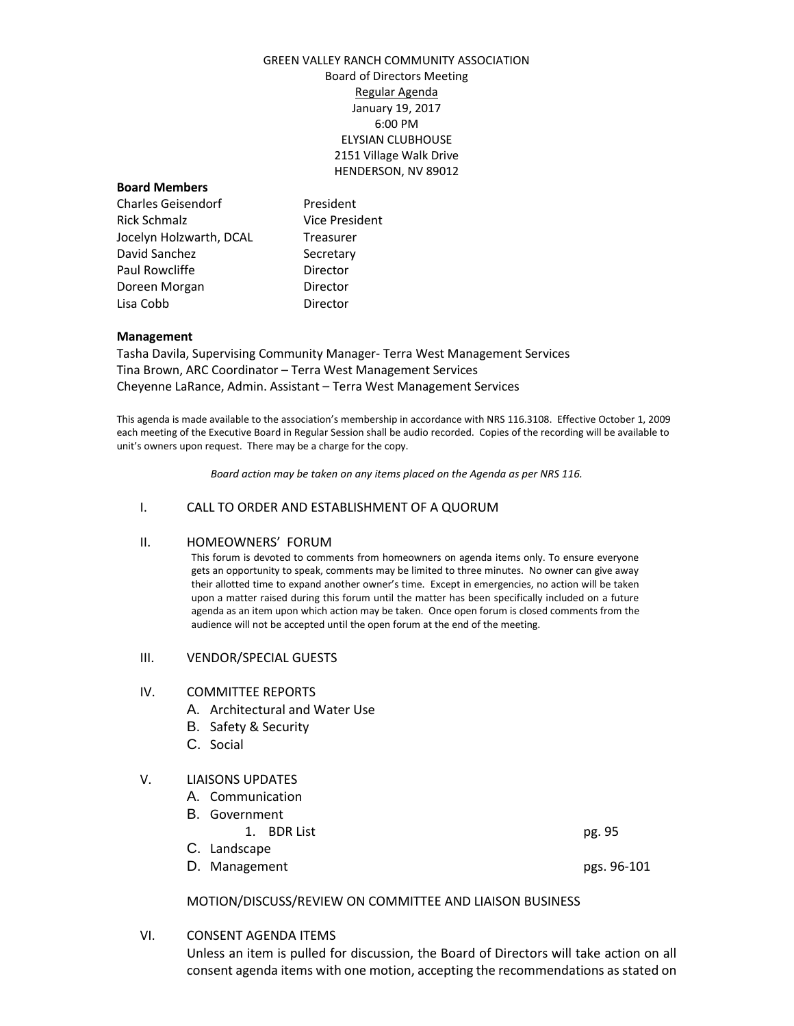# GREEN VALLEY RANCH COMMUNITY ASSOCIATION Board of Directors Meeting Regular Agenda January 19, 2017 6:00 PM ELYSIAN CLUBHOUSE 2151 Village Walk Drive HENDERSON, NV 89012

# **Board Members**

Charles Geisendorf President Rick Schmalz Vice President Jocelyn Holzwarth, DCAL Treasurer David Sanchez Secretary Paul Rowcliffe **Director** Doreen Morgan **Director** Lisa Cobb Director

#### **Management**

Tasha Davila, Supervising Community Manager- Terra West Management Services Tina Brown, ARC Coordinator – Terra West Management Services Cheyenne LaRance, Admin. Assistant – Terra West Management Services

This agenda is made available to the association's membership in accordance with NRS 116.3108. Effective October 1, 2009 each meeting of the Executive Board in Regular Session shall be audio recorded. Copies of the recording will be available to unit's owners upon request. There may be a charge for the copy.

*Board action may be taken on any items placed on the Agenda as per NRS 116.*

#### I. CALL TO ORDER AND ESTABLISHMENT OF A QUORUM

### II. HOMEOWNERS' FORUM

This forum is devoted to comments from homeowners on agenda items only. To ensure everyone gets an opportunity to speak, comments may be limited to three minutes. No owner can give away their allotted time to expand another owner's time. Except in emergencies, no action will be taken upon a matter raised during this forum until the matter has been specifically included on a future agenda as an item upon which action may be taken. Once open forum is closed comments from the audience will not be accepted until the open forum at the end of the meeting.

#### III. VENDOR/SPECIAL GUESTS

#### IV. COMMITTEE REPORTS

- A. Architectural and Water Use
- B. Safety & Security
- C. Social

# V. LIAISONS UPDATES

- A. Communication
- B. Government
	- 1. BDR List pg. 95
- C. Landscape
- D. Management pgs. 96-101

# MOTION/DISCUSS/REVIEW ON COMMITTEE AND LIAISON BUSINESS

VI. CONSENT AGENDA ITEMS

Unless an item is pulled for discussion, the Board of Directors will take action on all consent agenda items with one motion, accepting the recommendations as stated on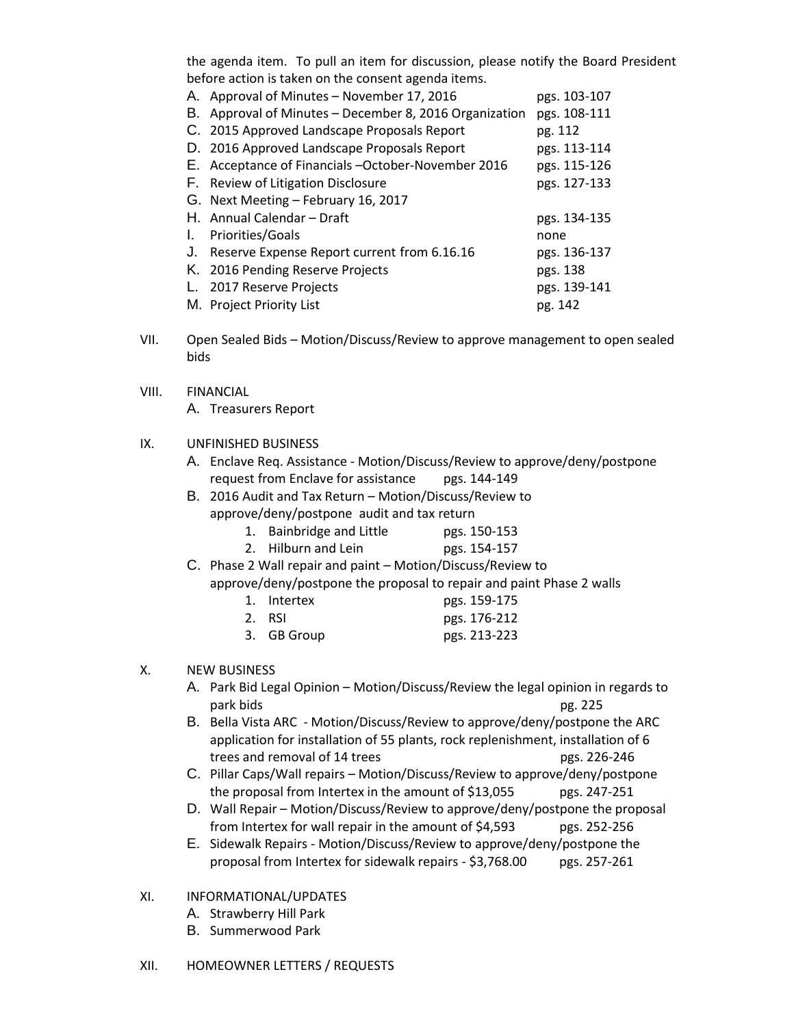the agenda item. To pull an item for discussion, please notify the Board President before action is taken on the consent agenda items.

| Α.           | Approval of Minutes - November 17, 2016             | pgs. 103-107 |
|--------------|-----------------------------------------------------|--------------|
| В.           | Approval of Minutes - December 8, 2016 Organization | pgs. 108-111 |
|              | C. 2015 Approved Landscape Proposals Report         | pg. 112      |
|              | D. 2016 Approved Landscape Proposals Report         | pgs. 113-114 |
|              | E. Acceptance of Financials -October-November 2016  | pgs. 115-126 |
|              | F. Review of Litigation Disclosure                  | pgs. 127-133 |
|              | G. Next Meeting - February 16, 2017                 |              |
|              | H. Annual Calendar – Draft                          | pgs. 134-135 |
| $\mathbf{L}$ | Priorities/Goals                                    | none         |
| J.           | Reserve Expense Report current from 6.16.16         | pgs. 136-137 |
|              | K. 2016 Pending Reserve Projects                    | pgs. 138     |
| L.           | 2017 Reserve Projects                               | pgs. 139-141 |
|              | M. Project Priority List                            | pg. 142      |

- VII. Open Sealed Bids Motion/Discuss/Review to approve management to open sealed bids
- VIII. FINANCIAL

A. Treasurers Report

# IX. UNFINISHED BUSINESS

- A. Enclave Req. Assistance Motion/Discuss/Review to approve/deny/postpone request from Enclave for assistance pgs. 144-149
- B. 2016 Audit and Tax Return Motion/Discuss/Review to approve/deny/postpone audit and tax return
	- 1. Bainbridge and Little pgs. 150-153
	- 2. Hilburn and Lein pgs. 154-157
- C. Phase 2 Wall repair and paint Motion/Discuss/Review to approve/deny/postpone the proposal to repair and paint Phase 2 walls

| 1. Intertex | pgs. 159-175 |
|-------------|--------------|
| 2. RSI      | pgs. 176-212 |

3. GB Group pgs. 213-223

# X. NEW BUSINESS

- A. Park Bid Legal Opinion Motion/Discuss/Review the legal opinion in regards to park bids **park bids** pg. 225
- B. Bella Vista ARC Motion/Discuss/Review to approve/deny/postpone the ARC application for installation of 55 plants, rock replenishment, installation of 6 trees and removal of 14 trees pgs. 226-246
- C. Pillar Caps/Wall repairs Motion/Discuss/Review to approve/deny/postpone the proposal from Intertex in the amount of \$13,055 pgs. 247-251
- D. Wall Repair Motion/Discuss/Review to approve/deny/postpone the proposal from Intertex for wall repair in the amount of \$4,593 pgs. 252-256
- E. Sidewalk Repairs Motion/Discuss/Review to approve/deny/postpone the proposal from Intertex for sidewalk repairs - \$3,768.00 pgs. 257-261

# XI. INFORMATIONAL/UPDATES

- A. Strawberry Hill Park
- B. Summerwood Park

# XII. HOMEOWNER LETTERS / REQUESTS